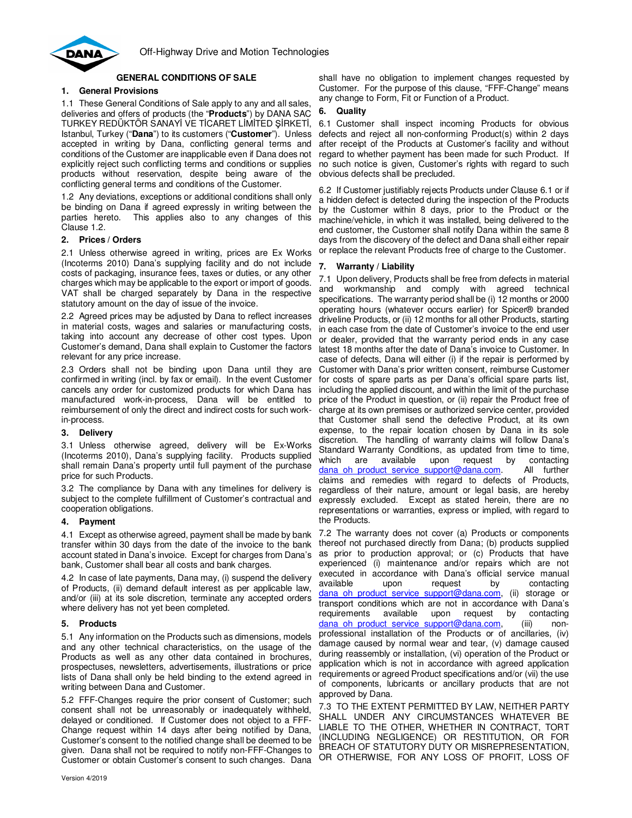

# **GENERAL CONDITIONS OF SALE**

## **1. General Provisions**

1.1 These General Conditions of Sale apply to any and all sales, deliveries and offers of products (the "**Products**") by DANA SAC TURKEY REDÜKTÖR SANAYİ VE TİCARET LİMİTED ŞİRKETİ, Istanbul, Turkey ("**Dana**") to its customers ("**Customer**"). Unless accepted in writing by Dana, conflicting general terms and conditions of the Customer are inapplicable even if Dana does not explicitly reject such conflicting terms and conditions or supplies products without reservation, despite being aware of the conflicting general terms and conditions of the Customer.

1.2 Any deviations, exceptions or additional conditions shall only be binding on Dana if agreed expressly in writing between the parties hereto. This applies also to any changes of this Clause 1.2.

### **2. Prices / Orders**

2.1 Unless otherwise agreed in writing, prices are Ex Works (Incoterms 2010) Dana's supplying facility and do not include costs of packaging, insurance fees, taxes or duties, or any other charges which may be applicable to the export or import of goods. VAT shall be charged separately by Dana in the respective statutory amount on the day of issue of the invoice.

2.2 Agreed prices may be adjusted by Dana to reflect increases in material costs, wages and salaries or manufacturing costs, taking into account any decrease of other cost types. Upon Customer's demand, Dana shall explain to Customer the factors relevant for any price increase.

2.3 Orders shall not be binding upon Dana until they are confirmed in writing (incl. by fax or email). In the event Customer cancels any order for customized products for which Dana has manufactured work-in-process, Dana will be entitled to reimbursement of only the direct and indirect costs for such workin-process.

### **3. Delivery**

3.1 Unless otherwise agreed, delivery will be Ex-Works (Incoterms 2010), Dana's supplying facility. Products supplied shall remain Dana's property until full payment of the purchase price for such Products.

3.2 The compliance by Dana with any timelines for delivery is subject to the complete fulfillment of Customer's contractual and cooperation obligations.

### **4. Payment**

4.1 Except as otherwise agreed, payment shall be made by bank transfer within 30 days from the date of the invoice to the bank account stated in Dana's invoice. Except for charges from Dana's bank, Customer shall bear all costs and bank charges.

4.2 In case of late payments, Dana may, (i) suspend the delivery of Products, (ii) demand default interest as per applicable law, and/or (iii) at its sole discretion, terminate any accepted orders where delivery has not yet been completed.

### **5. Products**

5.1 Any information on the Products such as dimensions, models and any other technical characteristics, on the usage of the Products as well as any other data contained in brochures, prospectuses, newsletters, advertisements, illustrations or price lists of Dana shall only be held binding to the extend agreed in writing between Dana and Customer.

5.2 FFF-Changes require the prior consent of Customer; such consent shall not be unreasonably or inadequately withheld, delayed or conditioned. If Customer does not object to a FFF-Change request within 14 days after being notified by Dana, Customer's consent to the notified change shall be deemed to be given. Dana shall not be required to notify non-FFF-Changes to Customer or obtain Customer's consent to such changes. Dana

shall have no obligation to implement changes requested by Customer. For the purpose of this clause, "FFF-Change" means any change to Form, Fit or Function of a Product.

### **6. Quality**

6.1 Customer shall inspect incoming Products for obvious defects and reject all non-conforming Product(s) within 2 days after receipt of the Products at Customer's facility and without regard to whether payment has been made for such Product. If no such notice is given, Customer's rights with regard to such obvious defects shall be precluded.

6.2 If Customer justifiably rejects Products under Clause 6.1 or if a hidden defect is detected during the inspection of the Products by the Customer within 8 days, prior to the Product or the machine/vehicle, in which it was installed, being delivered to the end customer, the Customer shall notify Dana within the same 8 days from the discovery of the defect and Dana shall either repair or replace the relevant Products free of charge to the Customer.

## **7. Warranty / Liability**

7.1 Upon delivery, Products shall be free from defects in material and workmanship and comply with agreed technical specifications. The warranty period shall be (i) 12 months or 2000 operating hours (whatever occurs earlier) for Spicer® branded driveline Products, or (ii) 12 months for all other Products, starting in each case from the date of Customer's invoice to the end user or dealer, provided that the warranty period ends in any case latest 18 months after the date of Dana's invoice to Customer. In case of defects, Dana will either (i) if the repair is performed by Customer with Dana's prior written consent, reimburse Customer for costs of spare parts as per Dana's official spare parts list, including the applied discount, and within the limit of the purchase price of the Product in question, or (ii) repair the Product free of charge at its own premises or authorized service center, provided that Customer shall send the defective Product, at its own expense, to the repair location chosen by Dana in its sole discretion. The handling of warranty claims will follow Dana's Standard Warranty Conditions, as updated from time to time, which are available upon request by contacting dana\_oh\_product\_service\_support@dana.com. All further claims and remedies with regard to defects of Products, regardless of their nature, amount or legal basis, are hereby expressly excluded. Except as stated herein, there are no representations or warranties, express or implied, with regard to the Products.

7.2 The warranty does not cover (a) Products or components thereof not purchased directly from Dana; (b) products supplied as prior to production approval; or (c) Products that have experienced (i) maintenance and/or repairs which are not executed in accordance with Dana's official service manual available upon request by contacting dana oh product service support@dana.com, (ii) storage or transport conditions which are not in accordance with Dana's requirements available upon request by contacting dana\_oh\_product\_service\_support@dana.com, (iii) nonprofessional installation of the Products or of ancillaries, (iv) damage caused by normal wear and tear, (v) damage caused during reassembly or installation, (vi) operation of the Product or application which is not in accordance with agreed application requirements or agreed Product specifications and/or (vii) the use of components, lubricants or ancillary products that are not approved by Dana.

7.3 TO THE EXTENT PERMITTED BY LAW, NEITHER PARTY SHALL UNDER ANY CIRCUMSTANCES WHATEVER BE LIABLE TO THE OTHER, WHETHER IN CONTRACT, TORT (INCLUDING NEGLIGENCE) OR RESTITUTION, OR FOR BREACH OF STATUTORY DUTY OR MISREPRESENTATION, OR OTHERWISE, FOR ANY LOSS OF PROFIT, LOSS OF